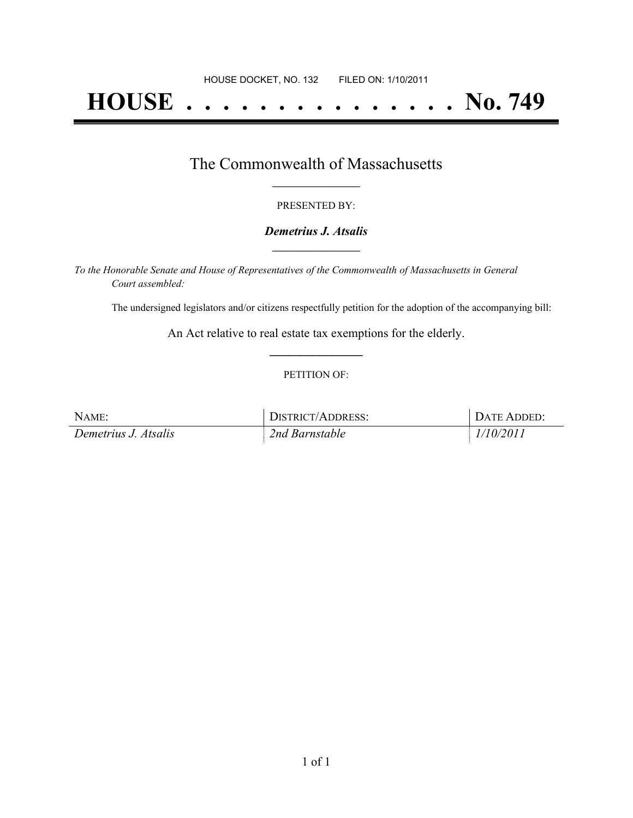# **HOUSE . . . . . . . . . . . . . . . No. 749**

### The Commonwealth of Massachusetts **\_\_\_\_\_\_\_\_\_\_\_\_\_\_\_\_\_**

#### PRESENTED BY:

#### *Demetrius J. Atsalis* **\_\_\_\_\_\_\_\_\_\_\_\_\_\_\_\_\_**

*To the Honorable Senate and House of Representatives of the Commonwealth of Massachusetts in General Court assembled:*

The undersigned legislators and/or citizens respectfully petition for the adoption of the accompanying bill:

An Act relative to real estate tax exemptions for the elderly. **\_\_\_\_\_\_\_\_\_\_\_\_\_\_\_**

#### PETITION OF:

| NAME:                | DISTRICT/ADDRESS: | DATE ADDED: |
|----------------------|-------------------|-------------|
| Demetrius J. Atsalis | 2nd Barnstable    | 1/10/2011   |